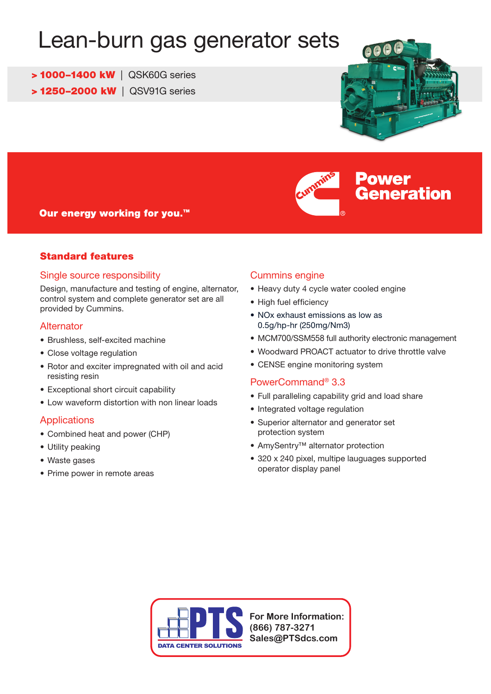# Lean-burn gas generator sets

> 1000–1400 kW | QSK60G series

> 1250–2000 kW | QSV91G series





## Our energy working for you.<sup>™</sup>

## Standard features

#### Single source responsibility

Design, manufacture and testing of engine, alternator, control system and complete generator set are all provided by Cummins.

#### **Alternator**

- Brushless, self-excited machine
- Close voltage regulation
- Rotor and exciter impregnated with oil and acid resisting resin
- • Exceptional short circuit capability
- Low waveform distortion with non linear loads

## **Applications**

- Combined heat and power (CHP)
- Utility peaking
- • Waste gases
- Prime power in remote areas

## Cummins engine

- Heavy duty 4 cycle water cooled engine
- High fuel efficiency
- NOx exhaust emissions as low as 0.5g/hp-hr (250mg/Nm3)
- MCM700/SSM558 full authority electronic management
- Woodward PROACT actuator to drive throttle valve
- CENSE engine monitoring system

## PowerCommand® 3.3

- Full paralleling capability grid and load share
- Integrated voltage regulation
- • Superior alternator and generator set protection system
- • AmySentry™ alternator protection
- 320 x 240 pixel, multipe lauguages supported operator display panel



**For More Information: (866) 787-3271 Sales@PTSdcs.com**